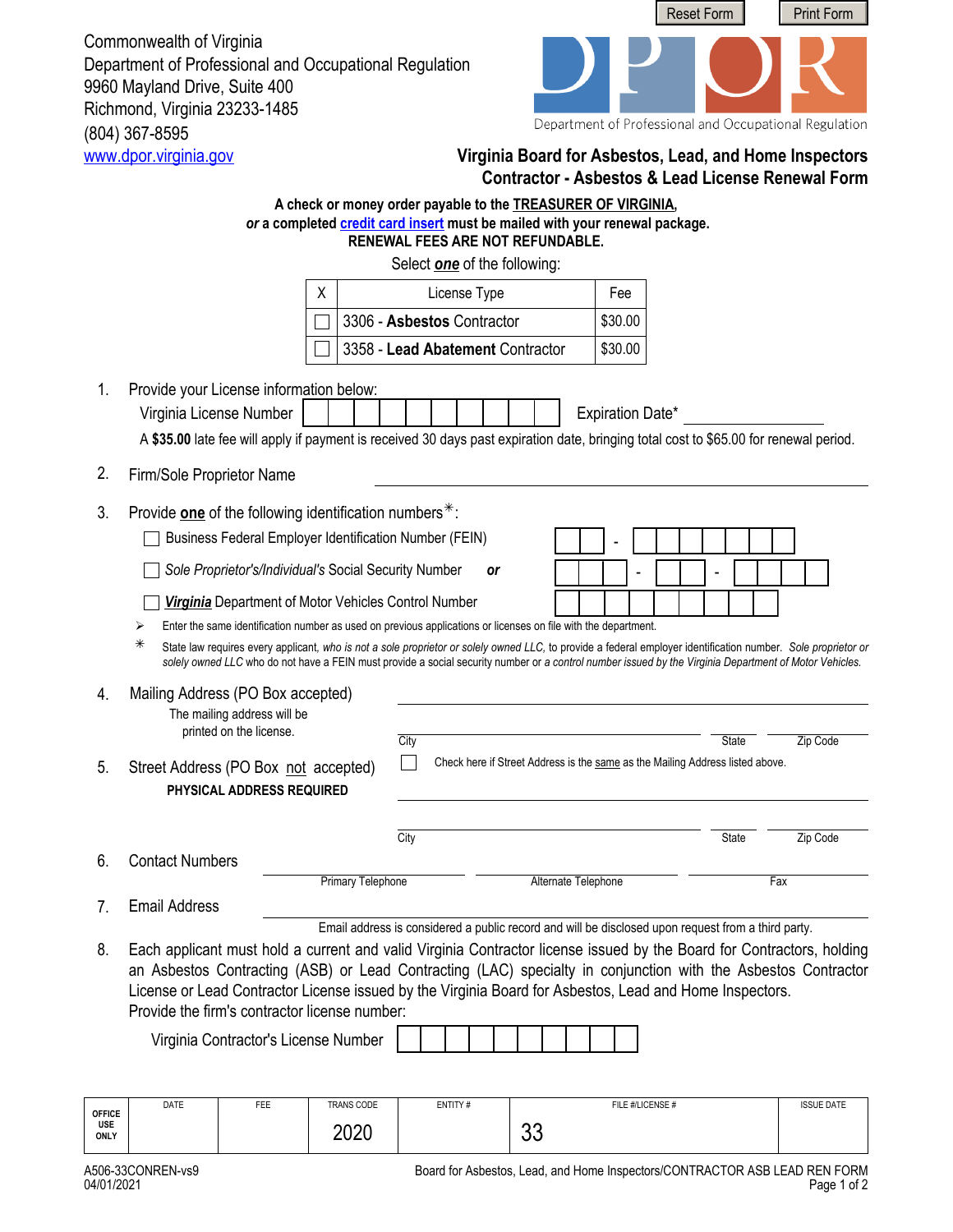(804) 367-8595<br>www.dpor.virginia.gov Commonwealth of Virginia Department of Professional and Occupational Regulation 9960 Mayland Drive, Suite 400 Richmond, Virginia 23233-1485



Department of Professional and Occupational Regulation

## **Virginia Board for Asbestos, Lead, and Home Inspectors Contractor - Asbestos & Lead License Renewal Form**

|                      |                                                                                                                                                                                                                                                                                                                                                                                                    |                                                                                                                                                               | A check or money order payable to the <b>TREASURER OF VIRGINIA</b> ,<br>or a completed credit card insert must be mailed with your renewal package. |                                                                                                    |           |    |                     |                  |                  |  |       |     |          |                   |  |
|----------------------|----------------------------------------------------------------------------------------------------------------------------------------------------------------------------------------------------------------------------------------------------------------------------------------------------------------------------------------------------------------------------------------------------|---------------------------------------------------------------------------------------------------------------------------------------------------------------|-----------------------------------------------------------------------------------------------------------------------------------------------------|----------------------------------------------------------------------------------------------------|-----------|----|---------------------|------------------|------------------|--|-------|-----|----------|-------------------|--|
|                      |                                                                                                                                                                                                                                                                                                                                                                                                    |                                                                                                                                                               |                                                                                                                                                     | <b>RENEWAL FEES ARE NOT REFUNDABLE.</b>                                                            |           |    |                     |                  |                  |  |       |     |          |                   |  |
|                      |                                                                                                                                                                                                                                                                                                                                                                                                    |                                                                                                                                                               |                                                                                                                                                     | Select <b>one</b> of the following:                                                                |           |    |                     |                  |                  |  |       |     |          |                   |  |
|                      |                                                                                                                                                                                                                                                                                                                                                                                                    |                                                                                                                                                               | X                                                                                                                                                   | License Type<br>Fee                                                                                |           |    |                     |                  |                  |  |       |     |          |                   |  |
|                      |                                                                                                                                                                                                                                                                                                                                                                                                    |                                                                                                                                                               |                                                                                                                                                     | 3306 - Asbestos Contractor<br>\$30.00                                                              |           |    |                     |                  |                  |  |       |     |          |                   |  |
|                      |                                                                                                                                                                                                                                                                                                                                                                                                    |                                                                                                                                                               |                                                                                                                                                     | 3358 - Lead Abatement Contractor                                                                   |           |    |                     | \$30.00          |                  |  |       |     |          |                   |  |
| 1.                   | Provide your License information below:<br>Virginia License Number                                                                                                                                                                                                                                                                                                                                 | A \$35.00 late fee will apply if payment is received 30 days past expiration date, bringing total cost to \$65.00 for renewal period.                         |                                                                                                                                                     |                                                                                                    |           |    |                     | Expiration Date* |                  |  |       |     |          |                   |  |
| 2.                   | Firm/Sole Proprietor Name                                                                                                                                                                                                                                                                                                                                                                          |                                                                                                                                                               |                                                                                                                                                     |                                                                                                    |           |    |                     |                  |                  |  |       |     |          |                   |  |
| 3.                   | Provide one of the following identification numbers $*$ :                                                                                                                                                                                                                                                                                                                                          |                                                                                                                                                               |                                                                                                                                                     |                                                                                                    |           |    |                     |                  |                  |  |       |     |          |                   |  |
|                      |                                                                                                                                                                                                                                                                                                                                                                                                    | Business Federal Employer Identification Number (FEIN)                                                                                                        |                                                                                                                                                     |                                                                                                    |           |    |                     |                  |                  |  |       |     |          |                   |  |
|                      |                                                                                                                                                                                                                                                                                                                                                                                                    | Sole Proprietor's/Individual's Social Security Number                                                                                                         |                                                                                                                                                     |                                                                                                    | <b>or</b> |    |                     |                  |                  |  |       |     |          |                   |  |
|                      |                                                                                                                                                                                                                                                                                                                                                                                                    | <b>Virginia</b> Department of Motor Vehicles Control Number                                                                                                   |                                                                                                                                                     |                                                                                                    |           |    |                     |                  |                  |  |       |     |          |                   |  |
|                      | ⋗                                                                                                                                                                                                                                                                                                                                                                                                  | Enter the same identification number as used on previous applications or licenses on file with the department.                                                |                                                                                                                                                     |                                                                                                    |           |    |                     |                  |                  |  |       |     |          |                   |  |
|                      | ⋇                                                                                                                                                                                                                                                                                                                                                                                                  | State law requires every applicant, who is not a sole proprietor or solely owned LLC, to provide a federal employer identification number. Sole proprietor or |                                                                                                                                                     |                                                                                                    |           |    |                     |                  |                  |  |       |     |          |                   |  |
| 4.<br>5.             | Street Address (PO Box not accepted)                                                                                                                                                                                                                                                                                                                                                               | Mailing Address (PO Box accepted)<br>The mailing address will be<br>printed on the license.<br>PHYSICAL ADDRESS REQUIRED                                      |                                                                                                                                                     | City<br>Check here if Street Address is the same as the Mailing Address listed above.              |           |    |                     |                  |                  |  | State |     | Zip Code |                   |  |
|                      |                                                                                                                                                                                                                                                                                                                                                                                                    |                                                                                                                                                               |                                                                                                                                                     |                                                                                                    |           |    |                     |                  |                  |  |       |     |          |                   |  |
|                      |                                                                                                                                                                                                                                                                                                                                                                                                    |                                                                                                                                                               |                                                                                                                                                     | City                                                                                               |           |    |                     |                  |                  |  | State |     | Zip Code |                   |  |
| 6.                   | <b>Contact Numbers</b>                                                                                                                                                                                                                                                                                                                                                                             |                                                                                                                                                               |                                                                                                                                                     |                                                                                                    |           |    |                     |                  |                  |  |       |     |          |                   |  |
|                      |                                                                                                                                                                                                                                                                                                                                                                                                    |                                                                                                                                                               | Primary Telephone                                                                                                                                   |                                                                                                    |           |    | Alternate Telephone |                  |                  |  |       | Fax |          |                   |  |
| 7.                   | <b>Email Address</b>                                                                                                                                                                                                                                                                                                                                                                               |                                                                                                                                                               |                                                                                                                                                     |                                                                                                    |           |    |                     |                  |                  |  |       |     |          |                   |  |
| 8.                   | Each applicant must hold a current and valid Virginia Contractor license issued by the Board for Contractors, holding<br>an Asbestos Contracting (ASB) or Lead Contracting (LAC) specialty in conjunction with the Asbestos Contractor<br>License or Lead Contractor License issued by the Virginia Board for Asbestos, Lead and Home Inspectors.<br>Provide the firm's contractor license number: | Virginia Contractor's License Number                                                                                                                          |                                                                                                                                                     | Email address is considered a public record and will be disclosed upon request from a third party. |           |    |                     |                  |                  |  |       |     |          |                   |  |
|                      |                                                                                                                                                                                                                                                                                                                                                                                                    |                                                                                                                                                               |                                                                                                                                                     |                                                                                                    |           |    |                     |                  |                  |  |       |     |          |                   |  |
| <b>OFFICE</b><br>USE | DATE                                                                                                                                                                                                                                                                                                                                                                                               | FEE                                                                                                                                                           | TRANS CODE                                                                                                                                          | ENTITY#                                                                                            |           |    |                     |                  | FILE #/LICENSE # |  |       |     |          | <b>ISSUE DATE</b> |  |
| <b>ONLY</b>          |                                                                                                                                                                                                                                                                                                                                                                                                    |                                                                                                                                                               | 2020                                                                                                                                                |                                                                                                    |           | 33 |                     |                  |                  |  |       |     |          |                   |  |